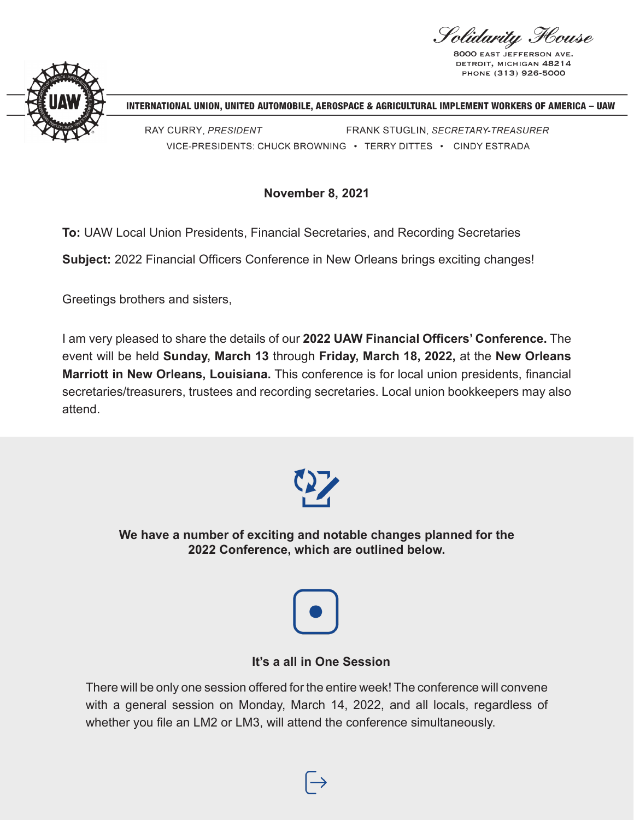Solidarity Flouse

**8000 EAST JEFFERS** DETROIT, MICHIGAN 48214 PHONE (313) 926-5000



INTERNATIONAL UNION, UNITED AUTOMOBILE, AEROSPACE & AGRICULTURAL IMPLEMENT WORKERS OF AMERICA - UAW

RAY CURRY, PRESIDENT FRANK STUGLIN, SECRETARY-TREASURER VICE-PRESIDENTS: CHUCK BROWNING · TERRY DITTES · CINDY ESTRADA

**November 8, 2021**

**To:** UAW Local Union Presidents, Financial Secretaries, and Recording Secretaries

**Subject:** 2022 Financial Officers Conference in New Orleans brings exciting changes!

Greetings brothers and sisters,

I am very pleased to share the details of our **2022 UAW Financial Officers' Conference.** The event will be held **Sunday, March 13** through **Friday, March 18, 2022,** at the **New Orleans Marriott in New Orleans, Louisiana.** This conference is for local union presidents, financial secretaries/treasurers, trustees and recording secretaries. Local union bookkeepers may also attend.



**We have a number of exciting and notable changes planned for the 2022 Conference, which are outlined below.**



### **It's a all in One Session**

There will be only one session offered for the entire week! The conference will convene with a general session on Monday, March 14, 2022, and all locals, regardless of whether you file an LM2 or LM3, will attend the conference simultaneously.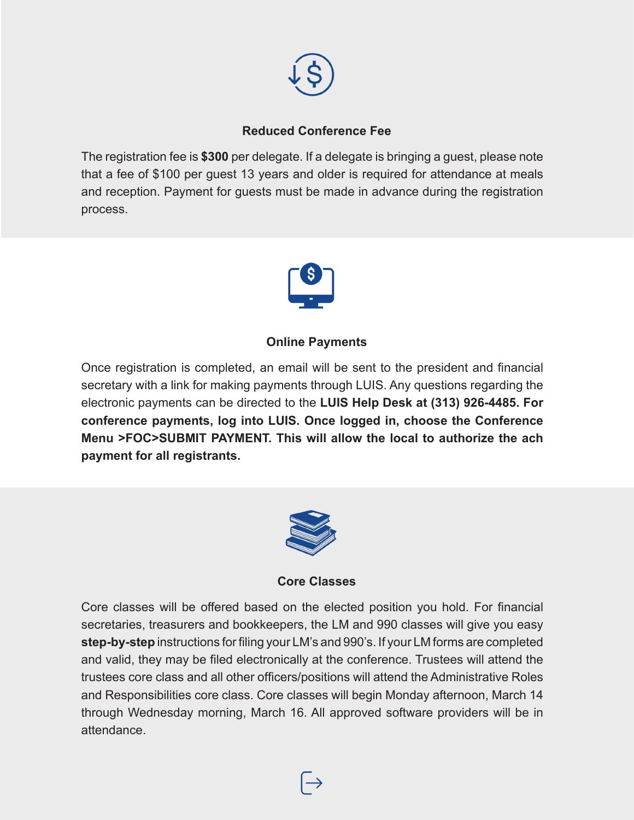

## **Reduced Conference Fee**

The registration fee is **\$300** per delegate. If a delegate is bringing a guest, please note that a fee of \$100 per guest 13 years and older is required for attendance at meals and reception. Payment for guests must be made in advance during the registration process.



### **Online Payments**

Once registration is completed, an email will be sent to the president and financial secretary with a link for making payments through LUIS. Any questions regarding the electronic payments can be directed to the **LUIS Help Desk at (313) 926-4485. For conference payments, log into LUIS. Once logged in, choose the Conference Menu >FOC>SUBMIT PAYMENT. This will allow the local to authorize the ach payment for all registrants.**



**Core Classes**

Core classes will be offered based on the elected position you hold. For financial secretaries, treasurers and bookkeepers, the LM and 990 classes will give you easy **step-by-step** instructions for filing your LM's and 990's. If your LM forms are completed and valid, they may be filed electronically at the conference. Trustees will attend the trustees core class and all other officers/positions will attend the Administrative Roles and Responsibilities core class. Core classes will begin Monday afternoon, March 14 through Wednesday morning, March 16. All approved software providers will be in attendance.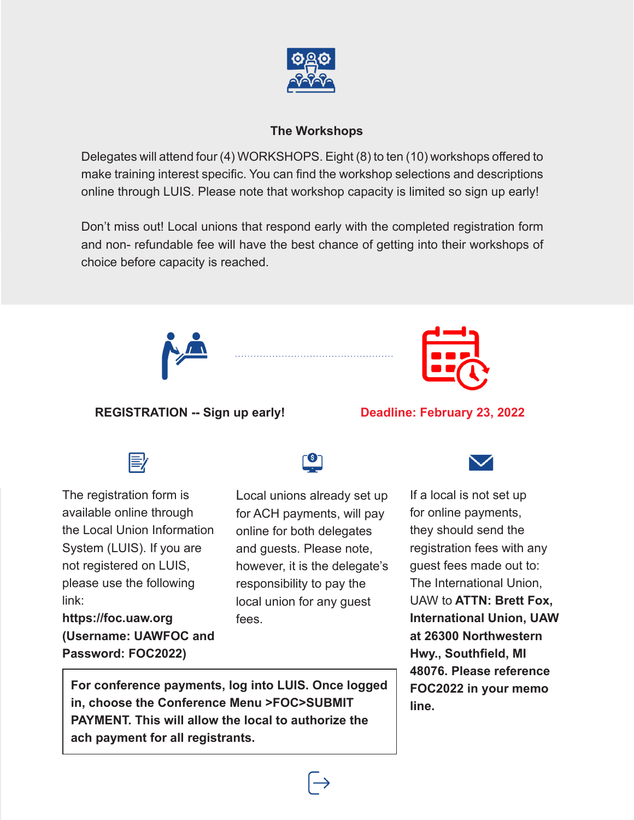

## **The Workshops**

Delegates will attend four (4) WORKSHOPS. Eight (8) to ten (10) workshops offered to make training interest specific. You can find the workshop selections and descriptions online through LUIS. Please note that workshop capacity is limited so sign up early!

Don't miss out! Local unions that respond early with the completed registration form and non- refundable fee will have the best chance of getting into their workshops of choice before capacity is reached.



## **REGISTRATION -- Sign up early!**



## **Deadline: February 23, 2022**



The registration form is available online through the Local Union Information System (LUIS). If you are not registered on LUIS, please use the following link:

**https://foc.uaw.org (Username: UAWFOC and Password: FOC2022)**

Local unions already set up for ACH payments, will pay online for both delegates and guests. Please note, however, it is the delegate's responsibility to pay the local union for any guest fees.



If a local is not set up for online payments, they should send the registration fees with any guest fees made out to: The International Union, UAW to **ATTN: Brett Fox, International Union, UAW at 26300 Northwestern Hwy., Southfield, MI 48076. Please reference FOC2022 in your memo line.**

**For conference payments, log into LUIS. Once logged in, choose the Conference Menu >FOC>SUBMIT PAYMENT. This will allow the local to authorize the ach payment for all registrants.**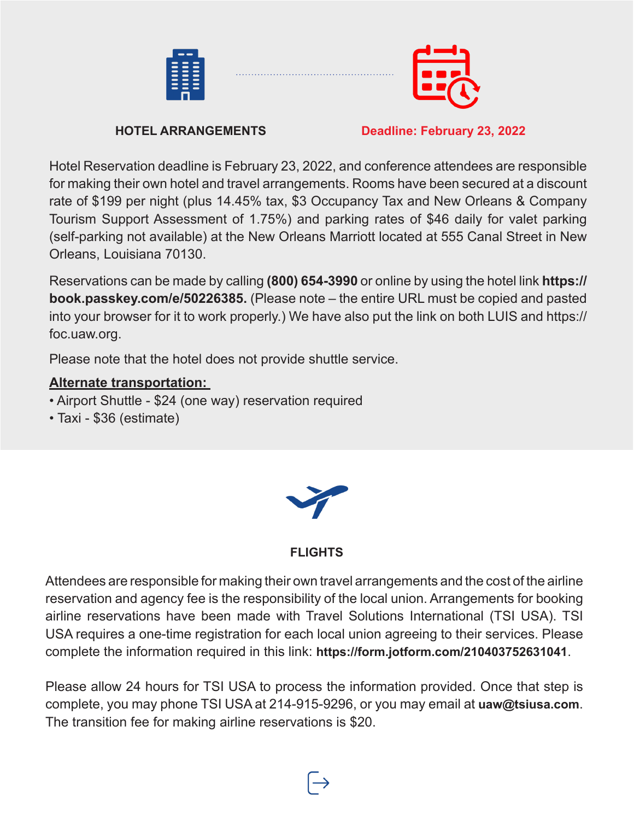



## **HOTEL ARRANGEMENTS** Deadline: February 23, 2022

Hotel Reservation deadline is February 23, 2022, and conference attendees are responsible for making their own hotel and travel arrangements. Rooms have been secured at a discount rate of \$199 per night (plus 14.45% tax, \$3 Occupancy Tax and New Orleans & Company Tourism Support Assessment of 1.75%) and parking rates of \$46 daily for valet parking (self-parking not available) at the New Orleans Marriott located at 555 Canal Street in New Orleans, Louisiana 70130.

Reservations can be made by calling **(800) 654-3990** or online by using the hotel link **https:// book.passkey.com/e/50226385.** (Please note – the entire URL must be copied and pasted into your browser for it to work properly.) We have also put the link on both LUIS and https:// foc.uaw.org.

Please note that the hotel does not provide shuttle service.

# **Alternate transportation:**

- Airport Shuttle \$24 (one way) reservation required
- Taxi \$36 (estimate)



# **FLIGHTS**

Attendees are responsible for making their own travel arrangements and the cost of the airline reservation and agency fee is the responsibility of the local union. Arrangements for booking airline reservations have been made with Travel Solutions International (TSI USA). TSI USA requires a one-time registration for each local union agreeing to their services. Please complete the information required in this link: **https://form.jotform.com/210403752631041**.

Please allow 24 hours for TSI USA to process the information provided. Once that step is complete, you may phone TSI USA at 214-915-9296, or you may email at **uaw@tsiusa.com**. The transition fee for making airline reservations is \$20.